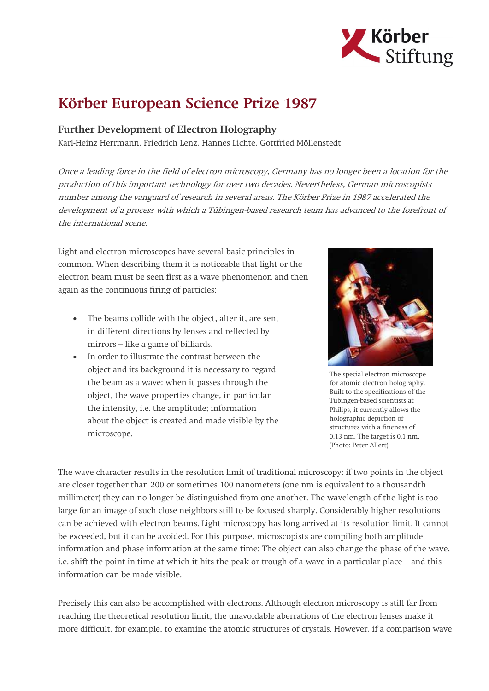

## Körber European Science Prize 1987

## Further Development of Electron Holography

Karl-Heinz Herrmann, Friedrich Lenz, Hannes Lichte, Gottfried Möllenstedt

Once a leading force in the field of electron microscopy, Germany has no longer been a location for the production of this important technology for over two decades. Nevertheless, German microscopists number among the vanguard of research in several areas. The Körber Prize in 1987 accelerated the development of a process with which a Tübingen-based research team has advanced to the forefront of the international scene.

Light and electron microscopes have several basic principles in common. When describing them it is noticeable that light or the electron beam must be seen first as a wave phenomenon and then again as the continuous firing of particles:

- The beams collide with the object, alter it, are sent in different directions by lenses and reflected by mirrors – like a game of billiards.
- In order to illustrate the contrast between the object and its background it is necessary to regard the beam as a wave: when it passes through the object, the wave properties change, in particular the intensity, i.e. the amplitude; information about the object is created and made visible by the microscope.



The special electron microscope for atomic electron holography. Built to the specifications of the Tübingen-based scientists at Philips, it currently allows the holographic depiction of structures with a fineness of 0.13 nm. The target is 0.1 nm. (Photo: Peter Allert)

The wave character results in the resolution limit of traditional microscopy: if two points in the object are closer together than 200 or sometimes 100 nanometers (one nm is equivalent to a thousandth millimeter) they can no longer be distinguished from one another. The wavelength of the light is too large for an image of such close neighbors still to be focused sharply. Considerably higher resolutions can be achieved with electron beams. Light microscopy has long arrived at its resolution limit. It cannot be exceeded, but it can be avoided. For this purpose, microscopists are compiling both amplitude information and phase information at the same time: The object can also change the phase of the wave, i.e. shift the point in time at which it hits the peak or trough of a wave in a particular place – and this information can be made visible.

Precisely this can also be accomplished with electrons. Although electron microscopy is still far from reaching the theoretical resolution limit, the unavoidable aberrations of the electron lenses make it more difficult, for example, to examine the atomic structures of crystals. However, if a comparison wave